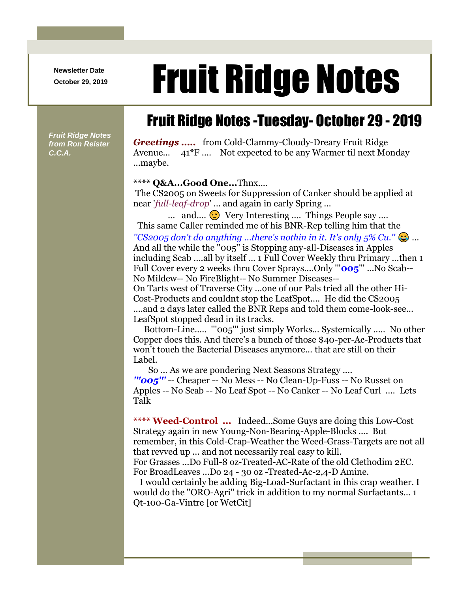**Newsletter Date**

## Newsletter Date **Fruit Ridge Notes**

## Fruit Ridge Notes -Tuesday- October 29 - 2019

*Fruit Ridge Notes from Ron Reister C.C.A.*

*Greetings .....* from Cold-Clammy-Cloudy-Dreary Fruit Ridge Avenue... 41\*F .... Not expected to be any Warmer til next Monday ...maybe.

## **\*\*\*\* Q&A...Good One...**Thnx....

The CS2005 on Sweets for Suppression of Canker should be applied at near '*full-leaf-drop*' ... and again in early Spring ...

... and....  $\odot$  Very Interesting .... Things People say .... This same Caller reminded me of his BNR-Rep telling him that the *''CS2005 don't do anything ...there's nothin in it. It's only 5% Cu.''* ... And all the while the ''005'' is Stopping any-all-Diseases in Apples including Scab ....all by itself ... 1 Full Cover Weekly thru Primary ...then 1 Full Cover every 2 weeks thru Cover Sprays....Only '''**005**''' ...No Scab-- No Mildew-- No FireBlight-- No Summer Diseases--

On Tarts west of Traverse City ...one of our Pals tried all the other Hi-Cost-Products and couldnt stop the LeafSpot.... He did the CS2005 ....and 2 days later called the BNR Reps and told them come-look-see... LeafSpot stopped dead in its tracks.

Bottom-Line..... '''005''' just simply Works... Systemically ..... No other Copper does this. And there's a bunch of those \$40-per-Ac-Products that won't touch the Bacterial Diseases anymore... that are still on their Label.

So ... As we are pondering Next Seasons Strategy .... *'''005'''* -- Cheaper -- No Mess -- No Clean-Up-Fuss -- No Russet on Apples -- No Scab -- No Leaf Spot -- No Canker -- No Leaf Curl .... Lets Talk

**\*\*\*\* Weed-Control ...** Indeed...Some Guys are doing this Low-Cost Strategy again in new Young-Non-Bearing-Apple-Blocks .... But remember, in this Cold-Crap-Weather the Weed-Grass-Targets are not all that revved up ... and not necessarily real easy to kill. For Grasses ...Do Full-8 oz-Treated-AC-Rate of the old Clethodim 2EC. For BroadLeaves ...Do 24 - 30 oz -Treated-Ac-2,4-D Amine.

I would certainly be adding Big-Load-Surfactant in this crap weather. I would do the ''ORO-Agri'' trick in addition to my normal Surfactants... 1 Qt-100-Ga-Vintre [or WetCit]